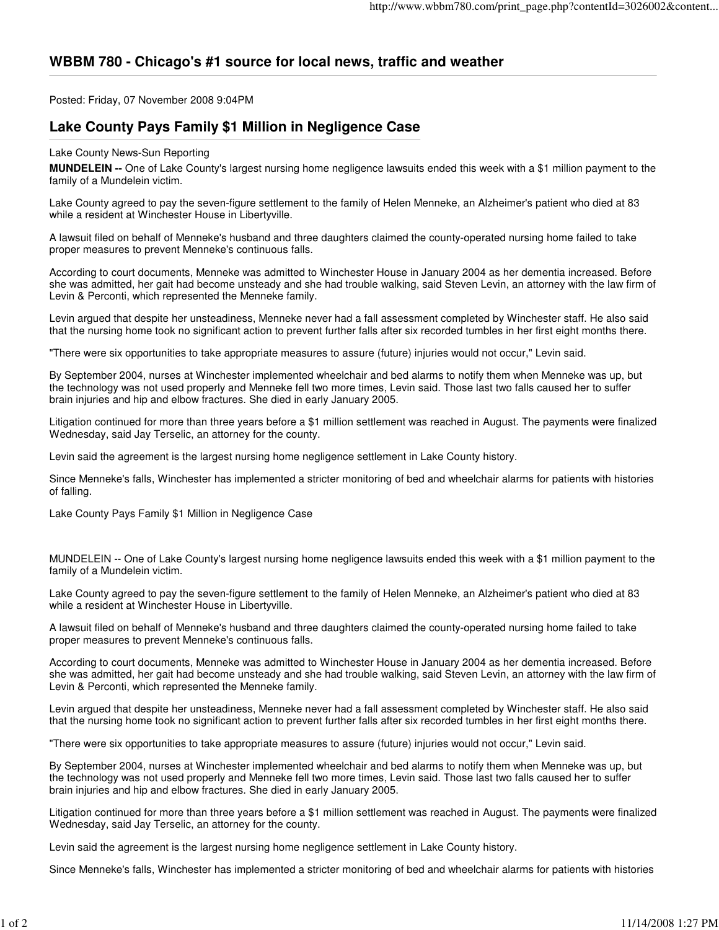## **WBBM 780 - Chicago's #1 source for local news, traffic and weather**

Posted: Friday, 07 November 2008 9:04PM

## **Lake County Pays Family \$1 Million in Negligence Case**

## Lake County News-Sun Reporting

**MUNDELEIN --** One of Lake County's largest nursing home negligence lawsuits ended this week with a \$1 million payment to the family of a Mundelein victim.

Lake County agreed to pay the seven-figure settlement to the family of Helen Menneke, an Alzheimer's patient who died at 83 while a resident at Winchester House in Libertyville.

A lawsuit filed on behalf of Menneke's husband and three daughters claimed the county-operated nursing home failed to take proper measures to prevent Menneke's continuous falls.

According to court documents, Menneke was admitted to Winchester House in January 2004 as her dementia increased. Before she was admitted, her gait had become unsteady and she had trouble walking, said Steven Levin, an attorney with the law firm of Levin & Perconti, which represented the Menneke family.

Levin argued that despite her unsteadiness, Menneke never had a fall assessment completed by Winchester staff. He also said that the nursing home took no significant action to prevent further falls after six recorded tumbles in her first eight months there.

"There were six opportunities to take appropriate measures to assure (future) injuries would not occur," Levin said.

By September 2004, nurses at Winchester implemented wheelchair and bed alarms to notify them when Menneke was up, but the technology was not used properly and Menneke fell two more times, Levin said. Those last two falls caused her to suffer brain injuries and hip and elbow fractures. She died in early January 2005.

Litigation continued for more than three years before a \$1 million settlement was reached in August. The payments were finalized Wednesday, said Jay Terselic, an attorney for the county.

Levin said the agreement is the largest nursing home negligence settlement in Lake County history.

Since Menneke's falls, Winchester has implemented a stricter monitoring of bed and wheelchair alarms for patients with histories of falling.

Lake County Pays Family \$1 Million in Negligence Case

MUNDELEIN -- One of Lake County's largest nursing home negligence lawsuits ended this week with a \$1 million payment to the family of a Mundelein victim.

Lake County agreed to pay the seven-figure settlement to the family of Helen Menneke, an Alzheimer's patient who died at 83 while a resident at Winchester House in Libertyville.

A lawsuit filed on behalf of Menneke's husband and three daughters claimed the county-operated nursing home failed to take proper measures to prevent Menneke's continuous falls.

According to court documents, Menneke was admitted to Winchester House in January 2004 as her dementia increased. Before she was admitted, her gait had become unsteady and she had trouble walking, said Steven Levin, an attorney with the law firm of Levin & Perconti, which represented the Menneke family.

Levin argued that despite her unsteadiness, Menneke never had a fall assessment completed by Winchester staff. He also said that the nursing home took no significant action to prevent further falls after six recorded tumbles in her first eight months there.

"There were six opportunities to take appropriate measures to assure (future) injuries would not occur," Levin said.

By September 2004, nurses at Winchester implemented wheelchair and bed alarms to notify them when Menneke was up, but the technology was not used properly and Menneke fell two more times, Levin said. Those last two falls caused her to suffer brain injuries and hip and elbow fractures. She died in early January 2005.

Litigation continued for more than three years before a \$1 million settlement was reached in August. The payments were finalized Wednesday, said Jay Terselic, an attorney for the county.

Levin said the agreement is the largest nursing home negligence settlement in Lake County history.

Since Menneke's falls, Winchester has implemented a stricter monitoring of bed and wheelchair alarms for patients with histories